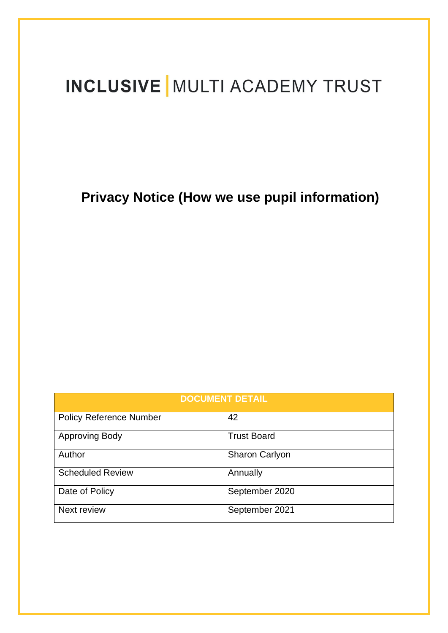# **INCLUSIVE | MULTI ACADEMY TRUST**

**Privacy Notice (How we use pupil information)**

| <b>DOCUMENT DETAIL</b>         |                    |
|--------------------------------|--------------------|
| <b>Policy Reference Number</b> | 42                 |
| <b>Approving Body</b>          | <b>Trust Board</b> |
| Author                         | Sharon Carlyon     |
| <b>Scheduled Review</b>        | Annually           |
| Date of Policy                 | September 2020     |
| Next review                    | September 2021     |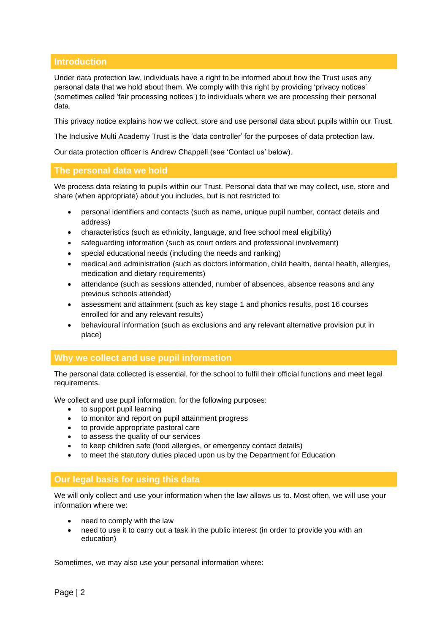# **Introduction**

Under data protection law, individuals have a right to be informed about how the Trust uses any personal data that we hold about them. We comply with this right by providing 'privacy notices' (sometimes called 'fair processing notices') to individuals where we are processing their personal data.

This privacy notice explains how we collect, store and use personal data about pupils within our Trust.

The Inclusive Multi Academy Trust is the 'data controller' for the purposes of data protection law.

Our data protection officer is Andrew Chappell (see 'Contact us' below).

#### **The personal data we hold**

We process data relating to pupils within our Trust. Personal data that we may collect, use, store and share (when appropriate) about you includes, but is not restricted to:

- personal identifiers and contacts (such as name, unique pupil number, contact details and address)
- characteristics (such as ethnicity, language, and free school meal eligibility)
- safeguarding information (such as court orders and professional involvement)
- special educational needs (including the needs and ranking)
- medical and administration (such as doctors information, child health, dental health, allergies, medication and dietary requirements)
- attendance (such as sessions attended, number of absences, absence reasons and any previous schools attended)
- assessment and attainment (such as key stage 1 and phonics results, post 16 courses enrolled for and any relevant results)
- behavioural information (such as exclusions and any relevant alternative provision put in place)

### **Why we collect and use pupil information**

The personal data collected is essential, for the school to fulfil their official functions and meet legal requirements.

We collect and use pupil information, for the following purposes:

- to support pupil learning
- to monitor and report on pupil attainment progress
- to provide appropriate pastoral care
- to assess the quality of our services
- to keep children safe (food allergies, or emergency contact details)
- to meet the statutory duties placed upon us by the Department for Education

#### **Our legal basis for using this data**

We will only collect and use your information when the law allows us to. Most often, we will use your information where we:

- need to comply with the law
- need to use it to carry out a task in the public interest (in order to provide you with an education)

Sometimes, we may also use your personal information where: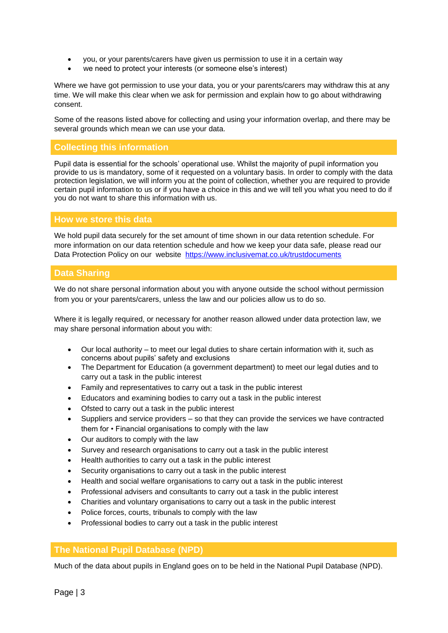- you, or your parents/carers have given us permission to use it in a certain way
- we need to protect your interests (or someone else's interest)

Where we have got permission to use your data, you or your parents/carers may withdraw this at any time. We will make this clear when we ask for permission and explain how to go about withdrawing consent.

Some of the reasons listed above for collecting and using your information overlap, and there may be several grounds which mean we can use your data.

# **Collecting this information**

Pupil data is essential for the schools' operational use. Whilst the majority of pupil information you provide to us is mandatory, some of it requested on a voluntary basis. In order to comply with the data protection legislation, we will inform you at the point of collection, whether you are required to provide certain pupil information to us or if you have a choice in this and we will tell you what you need to do if you do not want to share this information with us.

#### **How we store this data**

We hold pupil data securely for the set amount of time shown in our data retention schedule. For more information on our data retention schedule and how we keep your data safe, please read our Data Protection Policy on our website <https://www.inclusivemat.co.uk/trustdocuments>

### **Data Sharing**

We do not share personal information about you with anyone outside the school without permission from you or your parents/carers, unless the law and our policies allow us to do so.

Where it is legally required, or necessary for another reason allowed under data protection law, we may share personal information about you with:

- Our local authority to meet our legal duties to share certain information with it, such as concerns about pupils' safety and exclusions
- The Department for Education (a government department) to meet our legal duties and to carry out a task in the public interest
- Family and representatives to carry out a task in the public interest
- Educators and examining bodies to carry out a task in the public interest
- Ofsted to carry out a task in the public interest
- Suppliers and service providers so that they can provide the services we have contracted them for • Financial organisations to comply with the law
- Our auditors to comply with the law
- Survey and research organisations to carry out a task in the public interest
- Health authorities to carry out a task in the public interest
- Security organisations to carry out a task in the public interest
- Health and social welfare organisations to carry out a task in the public interest
- Professional advisers and consultants to carry out a task in the public interest
- Charities and voluntary organisations to carry out a task in the public interest
- Police forces, courts, tribunals to comply with the law
- Professional bodies to carry out a task in the public interest

### **The National Pupil Database (NPD)**

Much of the data about pupils in England goes on to be held in the National Pupil Database (NPD).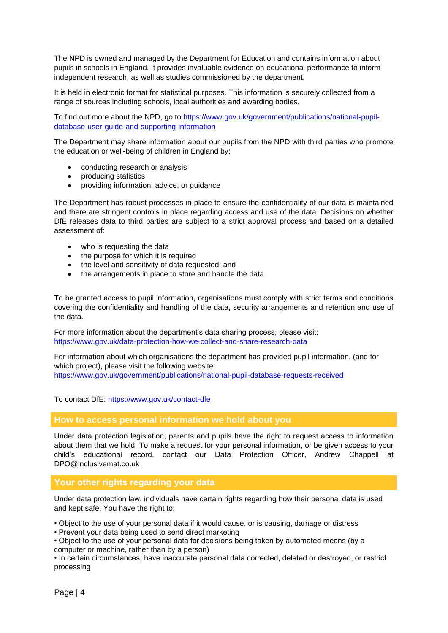The NPD is owned and managed by the Department for Education and contains information about pupils in schools in England. It provides invaluable evidence on educational performance to inform independent research, as well as studies commissioned by the department.

It is held in electronic format for statistical purposes. This information is securely collected from a range of sources including schools, local authorities and awarding bodies.

To find out more about the NPD, go to [https://www.gov.uk/government/publications/national-pupil](https://www.gov.uk/government/publications/national-pupil-database-user-guide-and-supporting-information)[database-user-guide-and-supporting-information](https://www.gov.uk/government/publications/national-pupil-database-user-guide-and-supporting-information)

The Department may share information about our pupils from the NPD with third parties who promote the education or well-being of children in England by:

- conducting research or analysis
- producing statistics
- providing information, advice, or guidance

The Department has robust processes in place to ensure the confidentiality of our data is maintained and there are stringent controls in place regarding access and use of the data. Decisions on whether DfE releases data to third parties are subject to a strict approval process and based on a detailed assessment of:

- who is requesting the data
- the purpose for which it is required
- the level and sensitivity of data requested: and
- the arrangements in place to store and handle the data

To be granted access to pupil information, organisations must comply with strict terms and conditions covering the confidentiality and handling of the data, security arrangements and retention and use of the data.

For more information about the department's data sharing process, please visit: <https://www.gov.uk/data-protection-how-we-collect-and-share-research-data>

For information about which organisations the department has provided pupil information, (and for which project), please visit the following website: <https://www.gov.uk/government/publications/national-pupil-database-requests-received>

To contact DfE:<https://www.gov.uk/contact-dfe>

#### **How to access personal information we hold about you**

Under data protection legislation, parents and pupils have the right to request access to information about them that we hold. To make a request for your personal information, or be given access to your child's educational record, contact our Data Protection Officer, Andrew Chappell at DPO@inclusivemat.co.uk

### **Your other rights regarding your data**

Under data protection law, individuals have certain rights regarding how their personal data is used and kept safe. You have the right to:

• Object to the use of your personal data if it would cause, or is causing, damage or distress

• Prevent your data being used to send direct marketing

• Object to the use of your personal data for decisions being taken by automated means (by a computer or machine, rather than by a person)

• In certain circumstances, have inaccurate personal data corrected, deleted or destroyed, or restrict processing